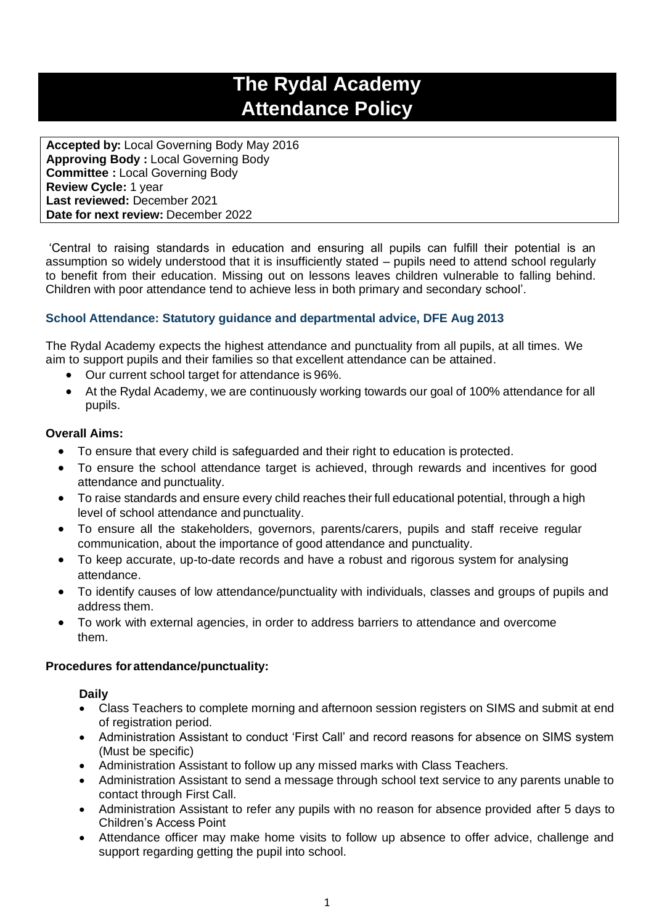# **The Rydal Academy Attendance Policy**

**Accepted by:** Local Governing Body May 2016 **Approving Body :** Local Governing Body **Committee :** Local Governing Body **Review Cycle:** 1 year **Last reviewed:** December 2021 **Date for next review:** December 2022

'Central to raising standards in education and ensuring all pupils can fulfill their potential is an assumption so widely understood that it is insufficiently stated – pupils need to attend school regularly to benefit from their education. Missing out on lessons leaves children vulnerable to falling behind. Children with poor attendance tend to achieve less in both primary and secondary school'.

# **School Attendance: Statutory guidance and departmental advice, DFE Aug 2013**

The Rydal Academy expects the highest attendance and punctuality from all pupils, at all times. We aim to support pupils and their families so that excellent attendance can be attained.

- Our current school target for attendance is 96%.
- At the Rydal Academy, we are continuously working towards our goal of 100% attendance for all pupils.

# **Overall Aims:**

- To ensure that every child is safeguarded and their right to education is protected.
- To ensure the school attendance target is achieved, through rewards and incentives for good attendance and punctuality.
- To raise standards and ensure every child reaches their full educational potential, through a high level of school attendance and punctuality.
- To ensure all the stakeholders, governors, parents/carers, pupils and staff receive regular communication, about the importance of good attendance and punctuality.
- To keep accurate, up-to-date records and have a robust and rigorous system for analysing attendance.
- To identify causes of low attendance/punctuality with individuals, classes and groups of pupils and address them.
- To work with external agencies, in order to address barriers to attendance and overcome them.

# **Procedures forattendance/punctuality:**

## **Daily**

- Class Teachers to complete morning and afternoon session registers on SIMS and submit at end of registration period.
- Administration Assistant to conduct 'First Call' and record reasons for absence on SIMS system (Must be specific)
- Administration Assistant to follow up any missed marks with Class Teachers.
- Administration Assistant to send a message through school text service to any parents unable to contact through First Call.
- Administration Assistant to refer any pupils with no reason for absence provided after 5 days to Children's Access Point
- Attendance officer may make home visits to follow up absence to offer advice, challenge and support regarding getting the pupil into school.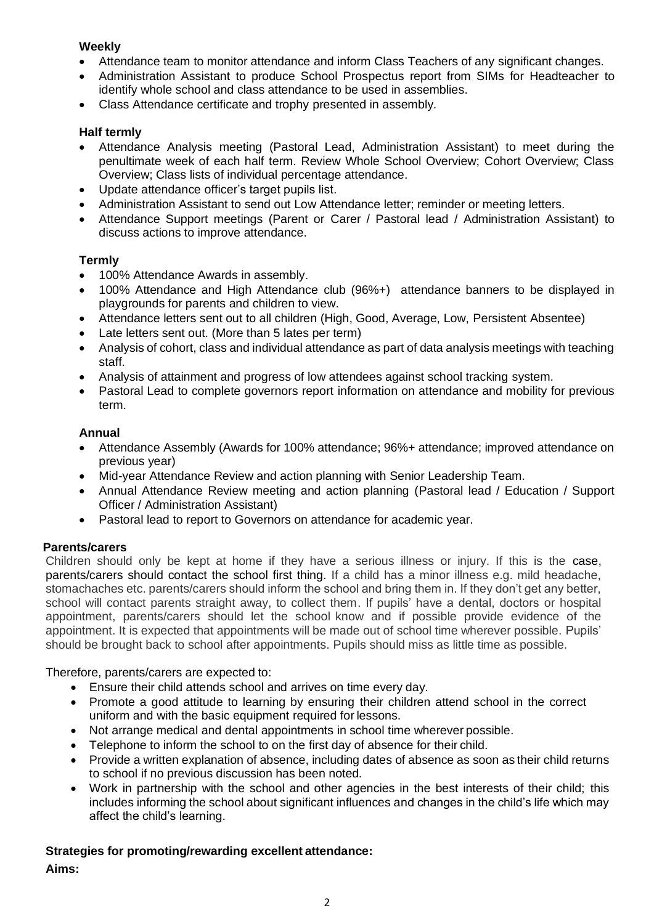# **Weekly**

- Attendance team to monitor attendance and inform Class Teachers of any significant changes.
- Administration Assistant to produce School Prospectus report from SIMs for Headteacher to identify whole school and class attendance to be used in assemblies.
- Class Attendance certificate and trophy presented in assembly.

# **Half termly**

- Attendance Analysis meeting (Pastoral Lead, Administration Assistant) to meet during the penultimate week of each half term. Review Whole School Overview; Cohort Overview; Class Overview; Class lists of individual percentage attendance.
- Update attendance officer's target pupils list.
- Administration Assistant to send out Low Attendance letter; reminder or meeting letters.
- Attendance Support meetings (Parent or Carer / Pastoral lead / Administration Assistant) to discuss actions to improve attendance.

# **Termly**

- 100% Attendance Awards in assembly.
- 100% Attendance and High Attendance club (96%+) attendance banners to be displayed in playgrounds for parents and children to view.
- Attendance letters sent out to all children (High, Good, Average, Low, Persistent Absentee)
- Late letters sent out. (More than 5 lates per term)
- Analysis of cohort, class and individual attendance as part of data analysis meetings with teaching staff.
- Analysis of attainment and progress of low attendees against school tracking system.
- Pastoral Lead to complete governors report information on attendance and mobility for previous term.

# **Annual**

- Attendance Assembly (Awards for 100% attendance; 96%+ attendance; improved attendance on previous year)
- Mid-year Attendance Review and action planning with Senior Leadership Team.
- Annual Attendance Review meeting and action planning (Pastoral lead / Education / Support Officer / Administration Assistant)
- Pastoral lead to report to Governors on attendance for academic year.

# **Parents/carers**

Children should only be kept at home if they have a serious illness or injury. If this is the case, parents/carers should contact the school first thing. If a child has a minor illness e.g. mild headache, stomachaches etc. parents/carers should inform the school and bring them in. If they don't get any better, school will contact parents straight away, to collect them. If pupils' have a dental, doctors or hospital appointment, parents/carers should let the school know and if possible provide evidence of the appointment. It is expected that appointments will be made out of school time wherever possible. Pupils' should be brought back to school after appointments. Pupils should miss as little time as possible.

Therefore, parents/carers are expected to:

- Ensure their child attends school and arrives on time every day.
- Promote a good attitude to learning by ensuring their children attend school in the correct uniform and with the basic equipment required for lessons.
- Not arrange medical and dental appointments in school time wherever possible.
- Telephone to inform the school to on the first day of absence for their child.
- Provide a written explanation of absence, including dates of absence as soon as their child returns to school if no previous discussion has been noted.
- Work in partnership with the school and other agencies in the best interests of their child; this includes informing the school about significant influences and changes in the child's life which may affect the child's learning.

**Strategies for promoting/rewarding excellent attendance: Aims:**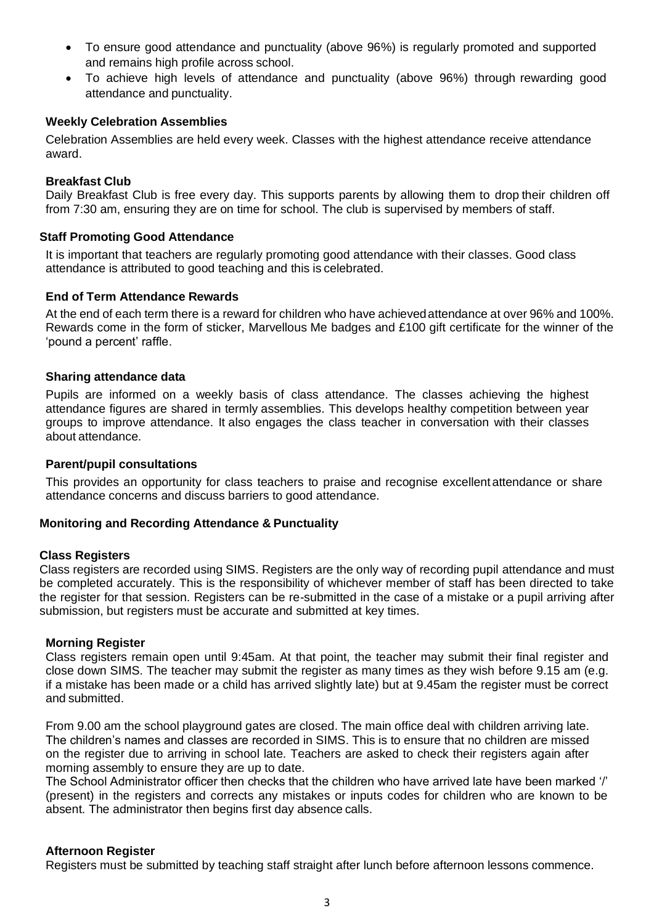- To ensure good attendance and punctuality (above 96%) is regularly promoted and supported and remains high profile across school.
- To achieve high levels of attendance and punctuality (above 96%) through rewarding good attendance and punctuality.

## **Weekly Celebration Assemblies**

Celebration Assemblies are held every week. Classes with the highest attendance receive attendance award.

#### **Breakfast Club**

Daily Breakfast Club is free every day. This supports parents by allowing them to drop their children off from 7:30 am, ensuring they are on time for school. The club is supervised by members of staff.

#### **Staff Promoting Good Attendance**

It is important that teachers are regularly promoting good attendance with their classes. Good class attendance is attributed to good teaching and this is celebrated.

## **End of Term Attendance Rewards**

At the end of each term there is a reward for children who have achievedattendance at over 96% and 100%. Rewards come in the form of sticker, Marvellous Me badges and £100 gift certificate for the winner of the 'pound a percent' raffle.

## **Sharing attendance data**

Pupils are informed on a weekly basis of class attendance. The classes achieving the highest attendance figures are shared in termly assemblies. This develops healthy competition between year groups to improve attendance. It also engages the class teacher in conversation with their classes about attendance.

#### **Parent/pupil consultations**

This provides an opportunity for class teachers to praise and recognise excellent attendance or share attendance concerns and discuss barriers to good attendance.

#### **Monitoring and Recording Attendance & Punctuality**

#### **Class Registers**

Class registers are recorded using SIMS. Registers are the only way of recording pupil attendance and must be completed accurately. This is the responsibility of whichever member of staff has been directed to take the register for that session. Registers can be re-submitted in the case of a mistake or a pupil arriving after submission, but registers must be accurate and submitted at key times.

#### **Morning Register**

Class registers remain open until 9:45am. At that point, the teacher may submit their final register and close down SIMS. The teacher may submit the register as many times as they wish before 9.15 am (e.g. if a mistake has been made or a child has arrived slightly late) but at 9.45am the register must be correct and submitted.

From 9.00 am the school playground gates are closed. The main office deal with children arriving late. The children's names and classes are recorded in SIMS. This is to ensure that no children are missed on the register due to arriving in school late. Teachers are asked to check their registers again after morning assembly to ensure they are up to date.

The School Administrator officer then checks that the children who have arrived late have been marked '/' (present) in the registers and corrects any mistakes or inputs codes for children who are known to be absent. The administrator then begins first day absence calls.

#### **Afternoon Register**

Registers must be submitted by teaching staff straight after lunch before afternoon lessons commence.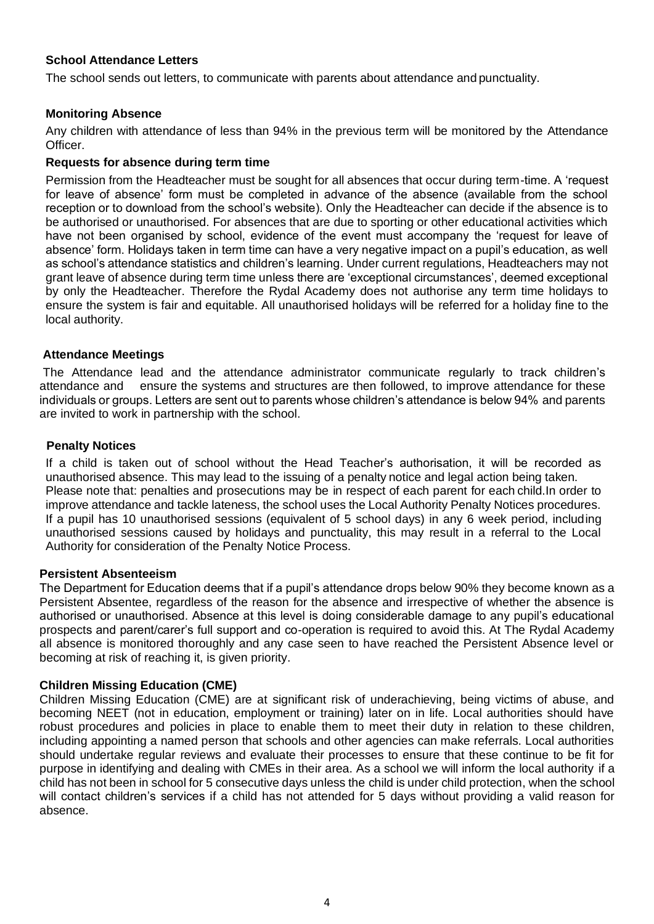# **School Attendance Letters**

The school sends out letters, to communicate with parents about attendance and punctuality.

## **Monitoring Absence**

Any children with attendance of less than 94% in the previous term will be monitored by the Attendance Officer.

## **Requests for absence during term time**

Permission from the Headteacher must be sought for all absences that occur during term-time. A 'request for leave of absence' form must be completed in advance of the absence (available from the school reception or to download from the school's website). Only the Headteacher can decide if the absence is to be authorised or unauthorised. For absences that are due to sporting or other educational activities which have not been organised by school, evidence of the event must accompany the 'request for leave of absence' form. Holidays taken in term time can have a very negative impact on a pupil's education, as well as school's attendance statistics and children's learning. Under current regulations, Headteachers may not grant leave of absence during term time unless there are 'exceptional circumstances', deemed exceptional by only the Headteacher. Therefore the Rydal Academy does not authorise any term time holidays to ensure the system is fair and equitable. All unauthorised holidays will be referred for a holiday fine to the local authority.

## **Attendance Meetings**

The Attendance lead and the attendance administrator communicate regularly to track children's attendance and ensure the systems and structures are then followed, to improve attendance for these individuals or groups. Letters are sent out to parents whose children's attendance is below 94% and parents are invited to work in partnership with the school.

# **Penalty Notices**

If a child is taken out of school without the Head Teacher's authorisation, it will be recorded as unauthorised absence. This may lead to the issuing of a penalty notice and legal action being taken. Please note that: penalties and prosecutions may be in respect of each parent for each child.In order to improve attendance and tackle lateness, the school uses the Local Authority Penalty Notices procedures. If a pupil has 10 unauthorised sessions (equivalent of 5 school days) in any 6 week period, including unauthorised sessions caused by holidays and punctuality, this may result in a referral to the Local Authority for consideration of the Penalty Notice Process.

## **Persistent Absenteeism**

The Department for Education deems that if a pupil's attendance drops below 90% they become known as a Persistent Absentee, regardless of the reason for the absence and irrespective of whether the absence is authorised or unauthorised. Absence at this level is doing considerable damage to any pupil's educational prospects and parent/carer's full support and co-operation is required to avoid this. At The Rydal Academy all absence is monitored thoroughly and any case seen to have reached the Persistent Absence level or becoming at risk of reaching it, is given priority.

## **Children Missing Education (CME)**

Children Missing Education (CME) are at significant risk of underachieving, being victims of abuse, and becoming NEET (not in education, employment or training) later on in life. Local authorities should have robust procedures and policies in place to enable them to meet their duty in relation to these children, including appointing a named person that schools and other agencies can make referrals. Local authorities should undertake regular reviews and evaluate their processes to ensure that these continue to be fit for purpose in identifying and dealing with CMEs in their area. As a school we will inform the local authority if a child has not been in school for 5 consecutive days unless the child is under child protection, when the school will contact children's services if a child has not attended for 5 days without providing a valid reason for absence.